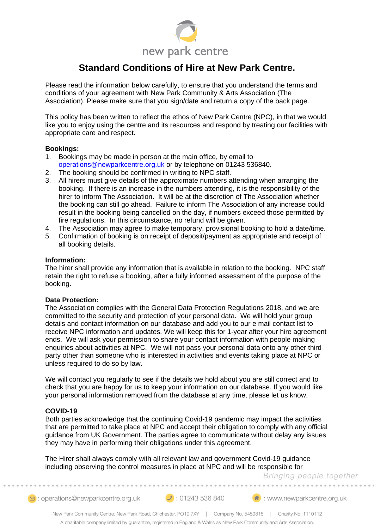

# **Standard Conditions of Hire at New Park Centre.**

Please read the information below carefully, to ensure that you understand the terms and conditions of your agreement with New Park Community & Arts Association (The Association). Please make sure that you sign/date and return a copy of the back page.

This policy has been written to reflect the ethos of New Park Centre (NPC), in that we would like you to enjoy using the centre and its resources and respond by treating our facilities with appropriate care and respect.

# **Bookings:**

- 1. Bookings may be made in person at the main office, by email to [operations@newparkcentre.org.uk](mailto:operations@newparkcentre.org.uk) or by telephone on 01243 536840.
- 2. The booking should be confirmed in writing to NPC staff.
- 3. All hirers must give details of the approximate numbers attending when arranging the booking. If there is an increase in the numbers attending, it is the responsibility of the hirer to inform The Association. It will be at the discretion of The Association whether the booking can still go ahead. Failure to inform The Association of any increase could result in the booking being cancelled on the day, if numbers exceed those permitted by fire regulations. In this circumstance, no refund will be given.
- 4. The Association may agree to make temporary, provisional booking to hold a date/time.
- 5. Confirmation of booking is on receipt of deposit/payment as appropriate and receipt of all booking details.

# **Information:**

The hirer shall provide any information that is available in relation to the booking. NPC staff retain the right to refuse a booking, after a fully informed assessment of the purpose of the booking.

#### **Data Protection:**

The Association complies with the General Data Protection Regulations 2018, and we are committed to the security and protection of your personal data. We will hold your group details and contact information on our database and add you to our e mail contact list to receive NPC information and updates. We will keep this for 1-year after your hire agreement ends. We will ask your permission to share your contact information with people making enquiries about activities at NPC. We will not pass your personal data onto any other third party other than someone who is interested in activities and events taking place at NPC or unless required to do so by law.

We will contact you regularly to see if the details we hold about you are still correct and to check that you are happy for us to keep your information on our database. If you would like your personal information removed from the database at any time, please let us know.

# **COVID-19**

Both parties acknowledge that the continuing Covid-19 pandemic may impact the activities that are permitted to take place at NPC and accept their obligation to comply with any official guidance from UK Government. The parties agree to communicate without delay any issues they may have in performing their obligations under this agreement.

The Hirer shall always comply with all relevant law and government Covid-19 guidance including observing the control measures in place at NPC and will be responsible for

Bringing people together

2 : operations@newparkcentre.org.uk 2 : 01243 536 840 (<del>4</del> : www.newparkcentre.org.uk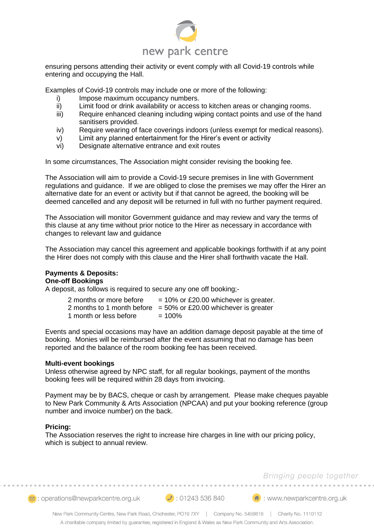

ensuring persons attending their activity or event comply with all Covid-19 controls while entering and occupying the Hall.

Examples of Covid-19 controls may include one or more of the following:

- i) Impose maximum occupancy numbers.
- ii) Limit food or drink availability or access to kitchen areas or changing rooms.
- iii) Require enhanced cleaning including wiping contact points and use of the hand sanitisers provided.
- iv) Require wearing of face coverings indoors (unless exempt for medical reasons).
- v) Limit any planned entertainment for the Hirer's event or activity
- vi) Designate alternative entrance and exit routes

In some circumstances, The Association might consider revising the booking fee.

The Association will aim to provide a Covid-19 secure premises in line with Government regulations and guidance. If we are obliged to close the premises we may offer the Hirer an alternative date for an event or activity but if that cannot be agreed, the booking will be deemed cancelled and any deposit will be returned in full with no further payment required.

The Association will monitor Government guidance and may review and vary the terms of this clause at any time without prior notice to the Hirer as necessary in accordance with changes to relevant law and guidance

The Association may cancel this agreement and applicable bookings forthwith if at any point the Hirer does not comply with this clause and the Hirer shall forthwith vacate the Hall.

#### **Payments & Deposits: One-off Bookings**

A deposit, as follows is required to secure any one off booking;-

| 2 months or more before | $= 10\%$ or £20.00 whichever is greater.                           |
|-------------------------|--------------------------------------------------------------------|
|                         | 2 months to 1 month before $= 50\%$ or £20.00 whichever is greater |
| 1 month or less before  | $= 100\%$                                                          |

Events and special occasions may have an addition damage deposit payable at the time of booking. Monies will be reimbursed after the event assuming that no damage has been reported and the balance of the room booking fee has been received.

#### **Multi-event bookings**

Unless otherwise agreed by NPC staff, for all regular bookings, payment of the months booking fees will be required within 28 days from invoicing.

Payment may be by BACS, cheque or cash by arrangement. Please make cheques payable to New Park Community & Arts Association (NPCAA) and put your booking reference (group number and invoice number) on the back.

# **Pricing:**

The Association reserves the right to increase hire charges in line with our pricing policy, which is subject to annual review.

# Bringing people together

2 : operations@newparkcentre.org.uk 2 : 01243 536 840 (<del>4</del> : www.newparkcentre.org.uk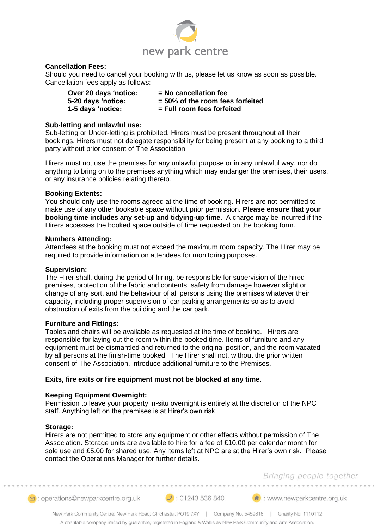

# **Cancellation Fees:**

Should you need to cancel your booking with us, please let us know as soon as possible. Cancellation fees apply as follows:

| Over 20 days 'notice: | $=$ No cancellation fee            |
|-----------------------|------------------------------------|
| 5-20 days 'notice:    | $=$ 50% of the room fees forfeited |
| 1-5 days 'notice:     | = Full room fees forfeited         |

#### **Sub-letting and unlawful use:**

Sub-letting or Under-letting is prohibited. Hirers must be present throughout all their bookings. Hirers must not delegate responsibility for being present at any booking to a third party without prior consent of The Association.

Hirers must not use the premises for any unlawful purpose or in any unlawful way, nor do anything to bring on to the premises anything which may endanger the premises, their users, or any insurance policies relating thereto.

# **Booking Extents:**

You should only use the rooms agreed at the time of booking. Hirers are not permitted to make use of any other bookable space without prior permission**. Please ensure that your booking time includes any set-up and tidying-up time.** A charge may be incurred if the Hirers accesses the booked space outside of time requested on the booking form.

#### **Numbers Attending:**

Attendees at the booking must not exceed the maximum room capacity. The Hirer may be required to provide information on attendees for monitoring purposes.

#### **Supervision:**

The Hirer shall, during the period of hiring, be responsible for supervision of the hired premises, protection of the fabric and contents, safety from damage however slight or change of any sort, and the behaviour of all persons using the premises whatever their capacity, including proper supervision of car-parking arrangements so as to avoid obstruction of exits from the building and the car park.

#### **Furniture and Fittings:**

Tables and chairs will be available as requested at the time of booking. Hirers are responsible for laying out the room within the booked time. Items of furniture and any equipment must be dismantled and returned to the original position, and the room vacated by all persons at the finish-time booked. The Hirer shall not, without the prior written consent of The Association, introduce additional furniture to the Premises.

# **Exits, fire exits or fire equipment must not be blocked at any time.**

#### **Keeping Equipment Overnight:**

Permission to leave your property in-situ overnight is entirely at the discretion of the NPC staff. Anything left on the premises is at Hirer's own risk.

#### **Storage:**

Hirers are not permitted to store any equipment or other effects without permission of The Association. Storage units are available to hire for a fee of £10.00 per calendar month for sole use and £5.00 for shared use. Any items left at NPC are at the Hirer's own risk. Please contact the Operations Manager for further details.

# Bringing people together

2 : operations@newparkcentre.org.uk 2 : 01243 536 840 (<del>4</del> : www.newparkcentre.org.uk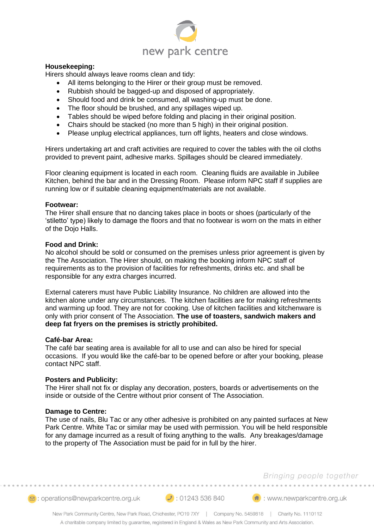

#### **Housekeeping:**

Hirers should always leave rooms clean and tidy:

- All items belonging to the Hirer or their group must be removed.
- Rubbish should be bagged-up and disposed of appropriately.
- Should food and drink be consumed, all washing-up must be done.
- The floor should be brushed, and any spillages wiped up.
- Tables should be wiped before folding and placing in their original position.
- Chairs should be stacked (no more than 5 high) in their original position.
- Please unplug electrical appliances, turn off lights, heaters and close windows.

Hirers undertaking art and craft activities are required to cover the tables with the oil cloths provided to prevent paint, adhesive marks. Spillages should be cleared immediately.

Floor cleaning equipment is located in each room. Cleaning fluids are available in Jubilee Kitchen, behind the bar and in the Dressing Room. Please inform NPC staff if supplies are running low or if suitable cleaning equipment/materials are not available.

#### **Footwear:**

The Hirer shall ensure that no dancing takes place in boots or shoes (particularly of the 'stiletto' type) likely to damage the floors and that no footwear is worn on the mats in either of the Dojo Halls.

#### **Food and Drink:**

No alcohol should be sold or consumed on the premises unless prior agreement is given by the The Association. The Hirer should, on making the booking inform NPC staff of requirements as to the provision of facilities for refreshments, drinks etc. and shall be responsible for any extra charges incurred.

External caterers must have Public Liability Insurance. No children are allowed into the kitchen alone under any circumstances. The kitchen facilities are for making refreshments and warming up food. They are not for cooking. Use of kitchen facilities and kitchenware is only with prior consent of The Association. **The use of toasters, sandwich makers and deep fat fryers on the premises is strictly prohibited.**

#### **Café-bar Area:**

The café bar seating area is available for all to use and can also be hired for special occasions. If you would like the café-bar to be opened before or after your booking, please contact NPC staff.

#### **Posters and Publicity:**

The Hirer shall not fix or display any decoration, posters, boards or advertisements on the inside or outside of the Centre without prior consent of The Association.

#### **Damage to Centre:**

The use of nails, Blu Tac or any other adhesive is prohibited on any painted surfaces at New Park Centre. White Tac or similar may be used with permission. You will be held responsible for any damage incurred as a result of fixing anything to the walls. Any breakages/damage to the property of The Association must be paid for in full by the hirer.

# Bringing people together

**⊠**: operations@newparkcentre.org.uk 2: 01243 536 840

(<del>1)</del>: www.newparkcentre.org.uk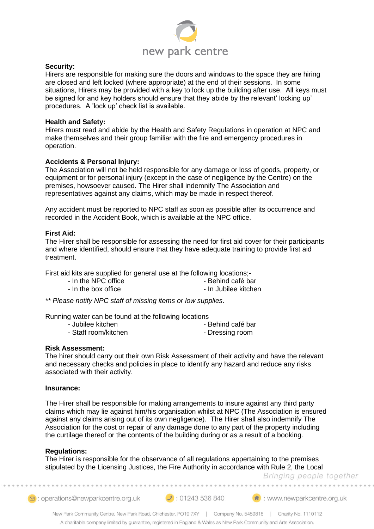

# **Security:**

Hirers are responsible for making sure the doors and windows to the space they are hiring are closed and left locked (where appropriate) at the end of their sessions. In some situations, Hirers may be provided with a key to lock up the building after use. All keys must be signed for and key holders should ensure that they abide by the relevant' locking up' procedures. A 'lock up' check list is available.

#### **Health and Safety:**

Hirers must read and abide by the Health and Safety Regulations in operation at NPC and make themselves and their group familiar with the fire and emergency procedures in operation.

# **Accidents & Personal Injury:**

The Association will not be held responsible for any damage or loss of goods, property, or equipment or for personal injury (except in the case of negligence by the Centre) on the premises, howsoever caused. The Hirer shall indemnify The Association and representatives against any claims, which may be made in respect thereof.

Any accident must be reported to NPC staff as soon as possible after its occurrence and recorded in the Accident Book, which is available at the NPC office.

#### **First Aid:**

The Hirer shall be responsible for assessing the need for first aid cover for their participants and where identified, should ensure that they have adequate training to provide first aid treatment.

First aid kits are supplied for general use at the following locations;-

- In the NPC office  $\overline{\phantom{a}}$  Behind café bar
- In the box office  $\overline{\phantom{a}}$  In Jubilee kitchen

*\*\* Please notify NPC staff of missing items or low supplies.*

Running water can be found at the following locations

- 
- Jubilee kitchen Behind café bar
- Staff room/kitchen Dressing room
- 

**Risk Assessment:**

The hirer should carry out their own Risk Assessment of their activity and have the relevant and necessary checks and policies in place to identify any hazard and reduce any risks associated with their activity.

#### **Insurance:**

The Hirer shall be responsible for making arrangements to insure against any third party claims which may lie against him/his organisation whilst at NPC (The Association is ensured against any claims arising out of its own negligence). The Hirer shall also indemnify The Association for the cost or repair of any damage done to any part of the property including the curtilage thereof or the contents of the building during or as a result of a booking.

# **Regulations:**

The Hirer is responsible for the observance of all regulations appertaining to the premises stipulated by the Licensing Justices, the Fire Authority in accordance with Rule 2, the Local

Bringing people together

sing : operations@newparkcentre.org.uk

 $\bigcup$ : 01243 536 840

(<sup>4</sup>): www.newparkcentre.org.uk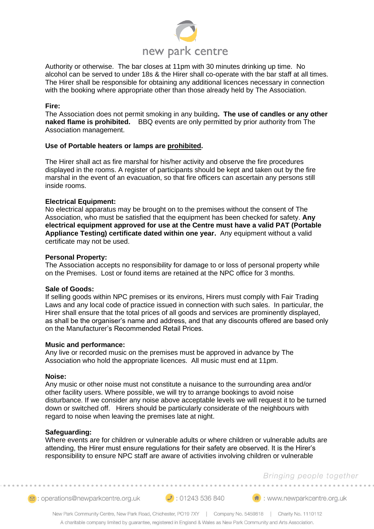

Authority or otherwise. The bar closes at 11pm with 30 minutes drinking up time. No alcohol can be served to under 18s & the Hirer shall co-operate with the bar staff at all times. The Hirer shall be responsible for obtaining any additional licences necessary in connection with the booking where appropriate other than those already held by The Association.

#### **Fire:**

The Association does not permit smoking in any building**. The use of candles or any other naked flame is prohibited.** BBQ events are only permitted by prior authority from The Association management.

# **Use of Portable heaters or lamps are prohibited.**

The Hirer shall act as fire marshal for his/her activity and observe the fire procedures displayed in the rooms. A register of participants should be kept and taken out by the fire marshal in the event of an evacuation, so that fire officers can ascertain any persons still inside rooms.

# **Electrical Equipment:**

No electrical apparatus may be brought on to the premises without the consent of The Association, who must be satisfied that the equipment has been checked for safety. **Any electrical equipment approved for use at the Centre must have a valid PAT (Portable Appliance Testing) certificate dated within one year.** Any equipment without a valid certificate may not be used.

#### **Personal Property:**

The Association accepts no responsibility for damage to or loss of personal property while on the Premises. Lost or found items are retained at the NPC office for 3 months.

#### **Sale of Goods:**

If selling goods within NPC premises or its environs, Hirers must comply with Fair Trading Laws and any local code of practice issued in connection with such sales. In particular, the Hirer shall ensure that the total prices of all goods and services are prominently displayed, as shall be the organiser's name and address, and that any discounts offered are based only on the Manufacturer's Recommended Retail Prices.

#### **Music and performance:**

Any live or recorded music on the premises must be approved in advance by The Association who hold the appropriate licences. All music must end at 11pm.

#### **Noise:**

Any music or other noise must not constitute a nuisance to the surrounding area and/or other facility users. Where possible, we will try to arrange bookings to avoid noise disturbance. If we consider any noise above acceptable levels we will request it to be turned down or switched off. Hirers should be particularly considerate of the neighbours with regard to noise when leaving the premises late at night.

#### **Safeguarding:**

Where events are for children or vulnerable adults or where children or vulnerable adults are attending, the Hirer must ensure regulations for their safety are observed. It is the Hirer's responsibility to ensure NPC staff are aware of activities involving children or vulnerable

# Bringing people together

2 : operations@newparkcentre.org.uk 2 : 01243 536 840 (<del>4</del> : www.newparkcentre.org.uk